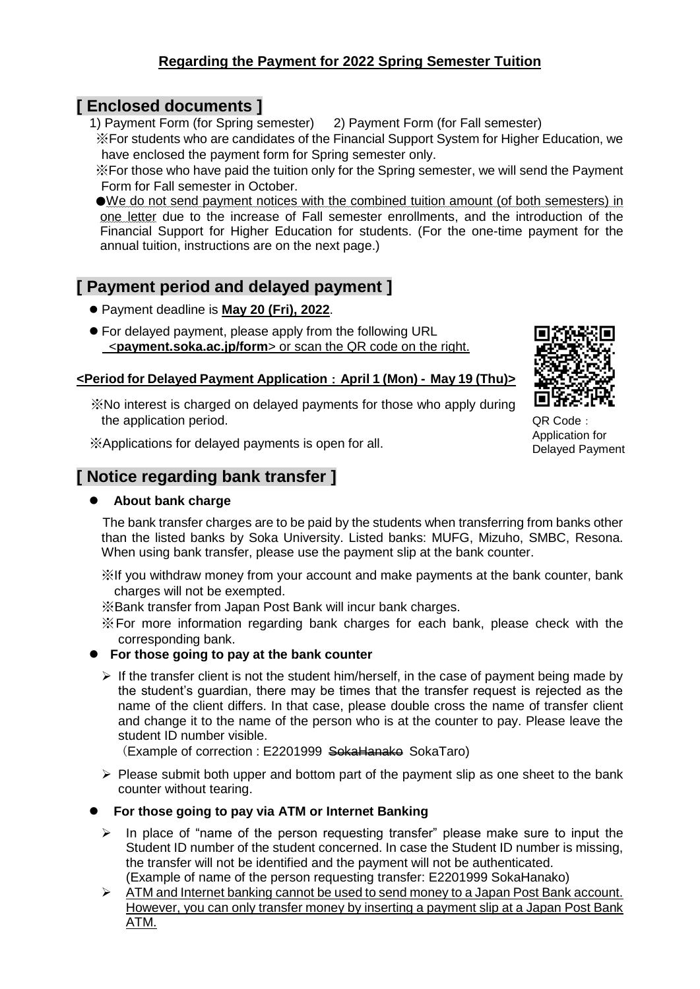### **Regarding the Payment for 2022 Spring Semester Tuition**

### **[ Enclosed documents ]**

1) Payment Form (for Spring semester) 2) Payment Form (for Fall semester)

※For students who are candidates of the Financial Support System for Higher Education, we have enclosed the payment form for Spring semester only.

※For those who have paid the tuition only for the Spring semester, we will send the Payment Form for Fall semester in October.

●We do not send payment notices with the combined tuition amount (of both semesters) in one letter due to the increase of Fall semester enrollments, and the introduction of the Financial Support for Higher Education for students. (For the one-time payment for the annual tuition, instructions are on the next page.)

# **[ Payment period and delayed payment ]**

- ⚫ Payment deadline is **May 20 (Fri), 2022**.
- For delayed payment, please apply from the following URL <**payment.soka.ac.jp/form**> or scan the QR code on the right.

#### **<Period for Delayed Payment Application**:**April 1 (Mon) - May 19 (Thu)>**

※No interest is charged on delayed payments for those who apply during the application period.

※Applications for delayed payments is open for all.

# **[ Notice regarding bank transfer ]**

#### ⚫ **About bank charge**



QR Code: Application for Delayed Payment

 The bank transfer charges are to be paid by the students when transferring from banks other than the listed banks by Soka University. Listed banks: MUFG, Mizuho, SMBC, Resona. When using bank transfer, please use the payment slip at the bank counter.

※If you withdraw money from your account and make payments at the bank counter, bank charges will not be exempted.

※Bank transfer from Japan Post Bank will incur bank charges.

※For more information regarding bank charges for each bank, please check with the corresponding bank.

#### ⚫ **For those going to pay at the bank counter**

 $\triangleright$  If the transfer client is not the student him/herself, in the case of payment being made by the student's guardian, there may be times that the transfer request is rejected as the name of the client differs. In that case, please double cross the name of transfer client and change it to the name of the person who is at the counter to pay. Please leave the student ID number visible.

(Example of correction : E2201999 SokaHanako SokaTaro)

 $\triangleright$  Please submit both upper and bottom part of the payment slip as one sheet to the bank counter without tearing.

#### ⚫ **For those going to pay via ATM or Internet Banking**

- $\triangleright$  In place of "name of the person requesting transfer" please make sure to input the Student ID number of the student concerned. In case the Student ID number is missing, the transfer will not be identified and the payment will not be authenticated. (Example of name of the person requesting transfer: E2201999 SokaHanako)
- ➢ ATM and Internet banking cannot be used to send money to a Japan Post Bank account. However, you can only transfer money by inserting a payment slip at a Japan Post Bank ATM.